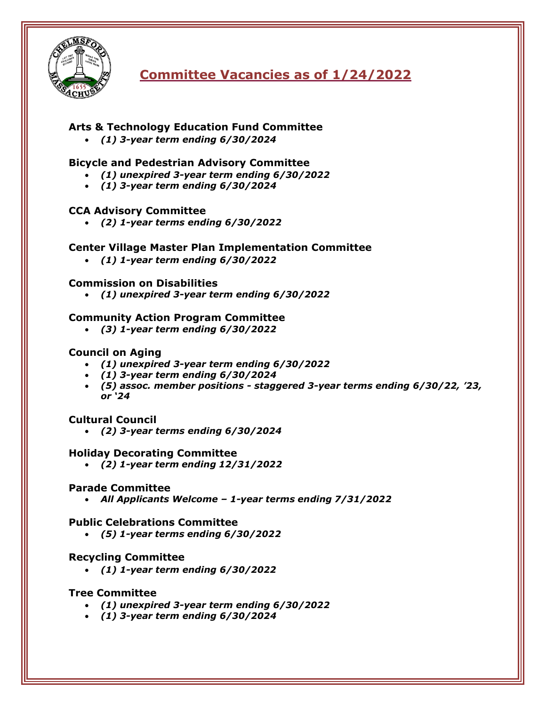

# **Committee Vacancies as of 1/24/2022**

# **Arts & Technology Education Fund Committee**

• *(1) 3-year term ending 6/30/2024*

## **Bicycle and Pedestrian Advisory Committee**

- *(1) unexpired 3-year term ending 6/30/2022*
- *(1) 3-year term ending 6/30/2024*

### **CCA Advisory Committee**

• *(2) 1-year terms ending 6/30/2022*

### **Center Village Master Plan Implementation Committee**

• *(1) 1-year term ending 6/30/2022*

### **Commission on Disabilities**

• *(1) unexpired 3-year term ending 6/30/2022*

### **Community Action Program Committee**

• *(3) 1-year term ending 6/30/2022*

### **Council on Aging**

- *(1) unexpired 3-year term ending 6/30/2022*
- *(1) 3-year term ending 6/30/2024*
- *(5) assoc. member positions - staggered 3-year terms ending 6/30/22, '23, or '24*

### **Cultural Council**

• *(2) 3-year terms ending 6/30/2024*

#### **Holiday Decorating Committee**

• *(2) 1-year term ending 12/31/2022*

#### **Parade Committee**

• *All Applicants Welcome – 1-year terms ending 7/31/2022*

#### **Public Celebrations Committee**

• *(5) 1-year terms ending 6/30/2022*

### **Recycling Committee**

• *(1) 1-year term ending 6/30/2022*

### **Tree Committee**

- *(1) unexpired 3-year term ending 6/30/2022*
- *(1) 3-year term ending 6/30/2024*